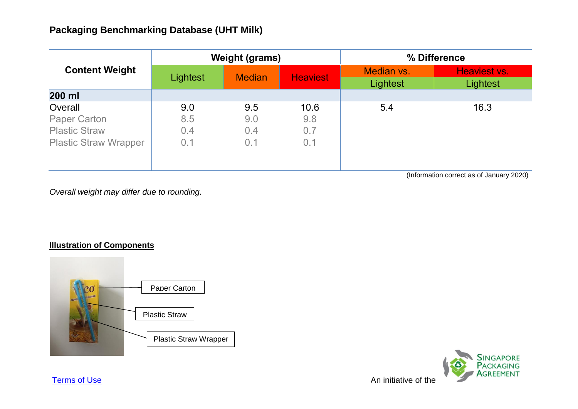| <b>Content Weight</b>        | <b>Weight (grams)</b> |               |                 | % Difference           |                          |
|------------------------------|-----------------------|---------------|-----------------|------------------------|--------------------------|
|                              | Lightest              | <b>Median</b> | <b>Heaviest</b> | Median vs.<br>Lightest | Heaviest vs.<br>Lightest |
| 200 ml                       |                       |               |                 |                        |                          |
| Overall                      | 9.0                   | 9.5           | 10.6            | 5.4                    | 16.3                     |
| <b>Paper Carton</b>          | 8.5                   | 9.0           | 9.8             |                        |                          |
| <b>Plastic Straw</b>         | 0.4                   | 0.4           | 0.7             |                        |                          |
| <b>Plastic Straw Wrapper</b> | 0.1                   | 0.1           | 0.1             |                        |                          |
|                              |                       |               |                 |                        |                          |

(Information correct as of January 2020)

*Overall weight may differ due to rounding.*

## **Illustration of Components**



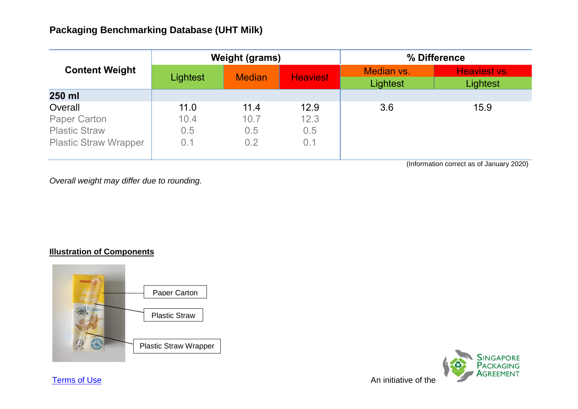| <b>Content Weight</b>        | <b>Weight (grams)</b> |               |                 | % Difference           |                          |
|------------------------------|-----------------------|---------------|-----------------|------------------------|--------------------------|
|                              | Lightest              | <b>Median</b> | <b>Heaviest</b> | Median vs.<br>Lightest | Heaviest vs.<br>Lightest |
| 250 ml                       |                       |               |                 |                        |                          |
| Overall                      | 11.0                  | 11.4          | 12.9            | 3.6                    | 15.9                     |
| <b>Paper Carton</b>          | 10.4                  | 10.7          | 12.3            |                        |                          |
| <b>Plastic Straw</b>         | 0.5                   | 0.5           | 0.5             |                        |                          |
| <b>Plastic Straw Wrapper</b> | 0.1                   | 0.2           | 0.1             |                        |                          |

(Information correct as of January 2020)

*Overall weight may differ due to rounding.*

## **Illustration of Components**